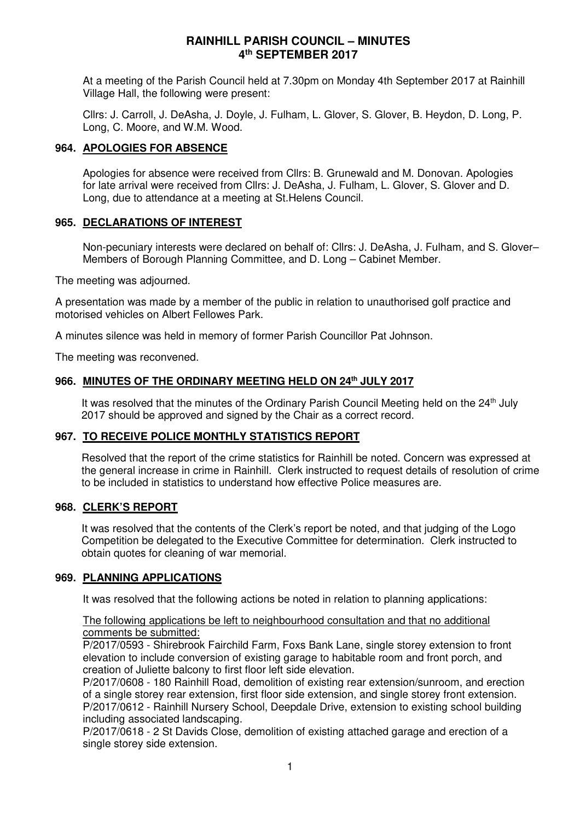At a meeting of the Parish Council held at 7.30pm on Monday 4th September 2017 at Rainhill Village Hall, the following were present:

Cllrs: J. Carroll, J. DeAsha, J. Doyle, J. Fulham, L. Glover, S. Glover, B. Heydon, D. Long, P. Long, C. Moore, and W.M. Wood.

#### **964. APOLOGIES FOR ABSENCE**

Apologies for absence were received from Cllrs: B. Grunewald and M. Donovan. Apologies for late arrival were received from Cllrs: J. DeAsha, J. Fulham, L. Glover, S. Glover and D. Long, due to attendance at a meeting at St.Helens Council.

#### **965. DECLARATIONS OF INTEREST**

Non-pecuniary interests were declared on behalf of: Cllrs: J. DeAsha, J. Fulham, and S. Glover– Members of Borough Planning Committee, and D. Long – Cabinet Member.

The meeting was adjourned.

A presentation was made by a member of the public in relation to unauthorised golf practice and motorised vehicles on Albert Fellowes Park.

A minutes silence was held in memory of former Parish Councillor Pat Johnson.

The meeting was reconvened.

## **966. MINUTES OF THE ORDINARY MEETING HELD ON 24th JULY 2017**

It was resolved that the minutes of the Ordinary Parish Council Meeting held on the  $24<sup>th</sup>$  July 2017 should be approved and signed by the Chair as a correct record.

#### **967. TO RECEIVE POLICE MONTHLY STATISTICS REPORT**

Resolved that the report of the crime statistics for Rainhill be noted. Concern was expressed at the general increase in crime in Rainhill. Clerk instructed to request details of resolution of crime to be included in statistics to understand how effective Police measures are.

#### **968. CLERK'S REPORT**

It was resolved that the contents of the Clerk's report be noted, and that judging of the Logo Competition be delegated to the Executive Committee for determination. Clerk instructed to obtain quotes for cleaning of war memorial.

#### **969. PLANNING APPLICATIONS**

It was resolved that the following actions be noted in relation to planning applications:

#### The following applications be left to neighbourhood consultation and that no additional comments be submitted:

P/2017/0593 - Shirebrook Fairchild Farm, Foxs Bank Lane, single storey extension to front elevation to include conversion of existing garage to habitable room and front porch, and creation of Juliette balcony to first floor left side elevation.

P/2017/0608 - 180 Rainhill Road, demolition of existing rear extension/sunroom, and erection of a single storey rear extension, first floor side extension, and single storey front extension. P/2017/0612 - Rainhill Nursery School, Deepdale Drive, extension to existing school building including associated landscaping.

P/2017/0618 - 2 St Davids Close, demolition of existing attached garage and erection of a single storey side extension.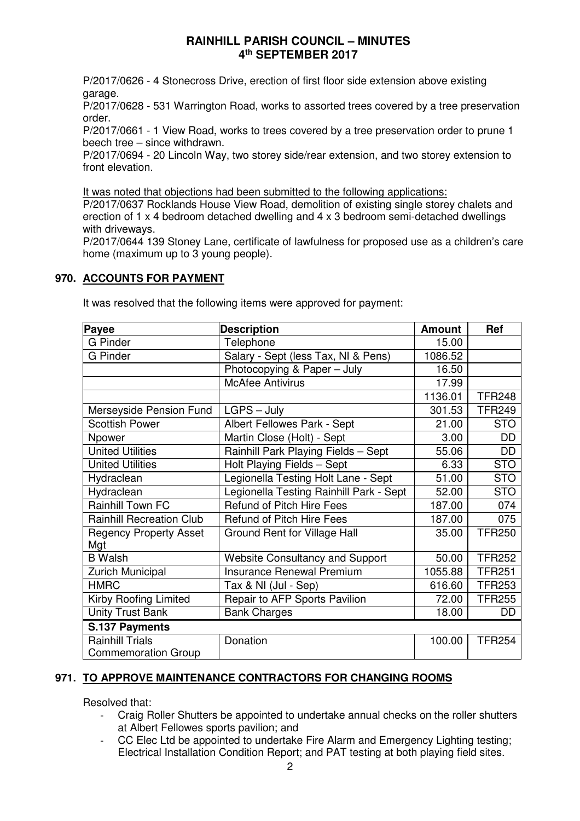P/2017/0626 - 4 Stonecross Drive, erection of first floor side extension above existing garage.

P/2017/0628 - 531 Warrington Road, works to assorted trees covered by a tree preservation order.

P/2017/0661 - 1 View Road, works to trees covered by a tree preservation order to prune 1 beech tree – since withdrawn.

P/2017/0694 - 20 Lincoln Way, two storey side/rear extension, and two storey extension to front elevation.

It was noted that objections had been submitted to the following applications:

P/2017/0637 Rocklands House View Road, demolition of existing single storey chalets and erection of 1 x 4 bedroom detached dwelling and 4 x 3 bedroom semi-detached dwellings with driveways.

P/2017/0644 139 Stoney Lane, certificate of lawfulness for proposed use as a children's care home (maximum up to 3 young people).

## **970. ACCOUNTS FOR PAYMENT**

| Payee                                | <b>Description</b>                      | <b>Amount</b> | Ref           |
|--------------------------------------|-----------------------------------------|---------------|---------------|
| <b>G</b> Pinder                      | Telephone                               | 15.00         |               |
| <b>G</b> Pinder                      | Salary - Sept (less Tax, NI & Pens)     | 1086.52       |               |
|                                      | Photocopying & Paper - July             | 16.50         |               |
|                                      | <b>McAfee Antivirus</b>                 | 17.99         |               |
|                                      |                                         | 1136.01       | <b>TFR248</b> |
| Merseyside Pension Fund              | $LGPS - July$                           | 301.53        | <b>TFR249</b> |
| <b>Scottish Power</b>                | Albert Fellowes Park - Sept             | 21.00         | <b>STO</b>    |
| Npower                               | Martin Close (Holt) - Sept              | 3.00          | DD            |
| <b>United Utilities</b>              | Rainhill Park Playing Fields - Sept     | 55.06         | <b>DD</b>     |
| <b>United Utilities</b>              | Holt Playing Fields - Sept              | 6.33          | <b>STO</b>    |
| Hydraclean                           | Legionella Testing Holt Lane - Sept     | 51.00         | <b>STO</b>    |
| Hydraclean                           | Legionella Testing Rainhill Park - Sept | 52.00         | <b>STO</b>    |
| <b>Rainhill Town FC</b>              | Refund of Pitch Hire Fees               | 187.00        | 074           |
| <b>Rainhill Recreation Club</b>      | <b>Refund of Pitch Hire Fees</b>        | 187.00        | 075           |
| <b>Regency Property Asset</b><br>Mgt | Ground Rent for Village Hall            | 35.00         | <b>TFR250</b> |
| <b>B</b> Walsh                       | <b>Website Consultancy and Support</b>  | 50.00         | <b>TFR252</b> |
| <b>Zurich Municipal</b>              | Insurance Renewal Premium               | 1055.88       | <b>TFR251</b> |
| <b>HMRC</b>                          | Tax & NI (Jul - Sep)                    | 616.60        | <b>TFR253</b> |
| Kirby Roofing Limited                | Repair to AFP Sports Pavilion           | 72.00         | <b>TFR255</b> |
| <b>Unity Trust Bank</b>              | <b>Bank Charges</b>                     | 18.00         | DD            |
| S.137 Payments                       |                                         |               |               |
| <b>Rainhill Trials</b>               | Donation                                | 100.00        | <b>TFR254</b> |
| <b>Commemoration Group</b>           |                                         |               |               |

It was resolved that the following items were approved for payment:

## **971. TO APPROVE MAINTENANCE CONTRACTORS FOR CHANGING ROOMS**

Resolved that:

- Craig Roller Shutters be appointed to undertake annual checks on the roller shutters at Albert Fellowes sports pavilion; and
- CC Elec Ltd be appointed to undertake Fire Alarm and Emergency Lighting testing; Electrical Installation Condition Report; and PAT testing at both playing field sites.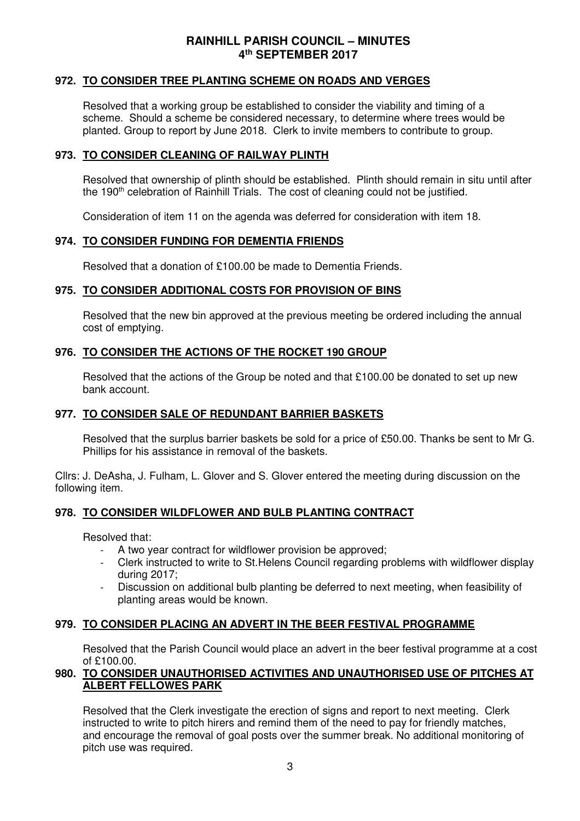#### **972. TO CONSIDER TREE PLANTING SCHEME ON ROADS AND VERGES**

Resolved that a working group be established to consider the viability and timing of a scheme. Should a scheme be considered necessary, to determine where trees would be planted. Group to report by June 2018. Clerk to invite members to contribute to group.

### **973. TO CONSIDER CLEANING OF RAILWAY PLINTH**

Resolved that ownership of plinth should be established. Plinth should remain in situ until after the 190<sup>th</sup> celebration of Rainhill Trials. The cost of cleaning could not be justified.

Consideration of item 11 on the agenda was deferred for consideration with item 18.

#### **974. TO CONSIDER FUNDING FOR DEMENTIA FRIENDS**

Resolved that a donation of £100.00 be made to Dementia Friends.

#### **975. TO CONSIDER ADDITIONAL COSTS FOR PROVISION OF BINS**

Resolved that the new bin approved at the previous meeting be ordered including the annual cost of emptying.

## **976. TO CONSIDER THE ACTIONS OF THE ROCKET 190 GROUP**

Resolved that the actions of the Group be noted and that  $£100.00$  be donated to set up new bank account.

## **977. TO CONSIDER SALE OF REDUNDANT BARRIER BASKETS**

Resolved that the surplus barrier baskets be sold for a price of £50.00. Thanks be sent to Mr G. Phillips for his assistance in removal of the baskets.

Cllrs: J. DeAsha, J. Fulham, L. Glover and S. Glover entered the meeting during discussion on the following item.

## **978. TO CONSIDER WILDFLOWER AND BULB PLANTING CONTRACT**

Resolved that:

- A two year contract for wildflower provision be approved;
- Clerk instructed to write to St.Helens Council regarding problems with wildflower display during 2017;
- Discussion on additional bulb planting be deferred to next meeting, when feasibility of planting areas would be known.

#### **979. TO CONSIDER PLACING AN ADVERT IN THE BEER FESTIVAL PROGRAMME**

Resolved that the Parish Council would place an advert in the beer festival programme at a cost of £100.00.

## **980. TO CONSIDER UNAUTHORISED ACTIVITIES AND UNAUTHORISED USE OF PITCHES AT ALBERT FELLOWES PARK**

Resolved that the Clerk investigate the erection of signs and report to next meeting. Clerk instructed to write to pitch hirers and remind them of the need to pay for friendly matches, and encourage the removal of goal posts over the summer break. No additional monitoring of pitch use was required.